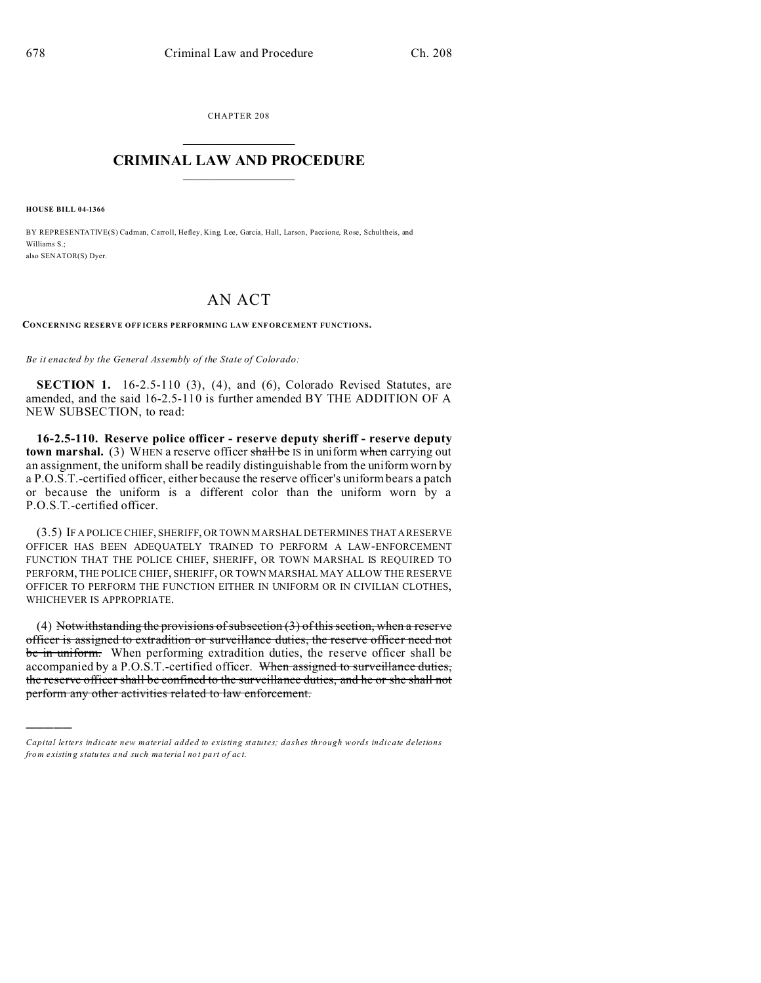CHAPTER 208  $\overline{\phantom{a}}$  , where  $\overline{\phantom{a}}$ 

## **CRIMINAL LAW AND PROCEDURE**  $\_$   $\_$   $\_$   $\_$   $\_$   $\_$   $\_$   $\_$   $\_$

**HOUSE BILL 04-1366**

)))))

BY REPRESENTATIVE(S) Cadman, Carroll, Hefley, King, Lee, Garcia, Hall, Larson, Paccione, Rose, Schultheis, and Williams S<sup>.</sup> also SENATOR(S) Dyer.

## AN ACT

**CONCERNING RESERVE OFF ICERS PERFORMING LAW ENF ORCEMENT FUNCTIONS.**

*Be it enacted by the General Assembly of the State of Colorado:*

**SECTION 1.** 16-2.5-110 (3), (4), and (6), Colorado Revised Statutes, are amended, and the said 16-2.5-110 is further amended BY THE ADDITION OF A NEW SUBSECTION, to read:

**16-2.5-110. Reserve police officer - reserve deputy sheriff - reserve deputy town marshal.** (3) WHEN a reserve officer shall be IS in uniform when carrying out an assignment, the uniform shall be readily distinguishable from the uniform worn by a P.O.S.T.-certified officer, either because the reserve officer's uniform bears a patch or because the uniform is a different color than the uniform worn by a P.O.S.T.-certified officer.

(3.5) IF A POLICE CHIEF, SHERIFF, OR TOWN MARSHAL DETERMINES THATA RESERVE OFFICER HAS BEEN ADEQUATELY TRAINED TO PERFORM A LAW-ENFORCEMENT FUNCTION THAT THE POLICE CHIEF, SHERIFF, OR TOWN MARSHAL IS REQUIRED TO PERFORM, THE POLICE CHIEF, SHERIFF, OR TOWN MARSHAL MAY ALLOW THE RESERVE OFFICER TO PERFORM THE FUNCTION EITHER IN UNIFORM OR IN CIVILIAN CLOTHES, WHICHEVER IS APPROPRIATE.

(4) Notwithstanding the provisions of subsection  $(3)$  of this section, when a reserve officer is assigned to extradition or surveillance duties, the reserve officer need not be in uniform. When performing extradition duties, the reserve officer shall be accompanied by a P.O.S.T.-certified officer. When assigned to surveillance duties, the reserve officer shall be confined to the surveillance duties, and he or she shall not perform any other activities related to law enforcement.

*Capital letters indicate new material added to existing statutes; dashes through words indicate deletions from e xistin g statu tes a nd such ma teria l no t pa rt of ac t.*